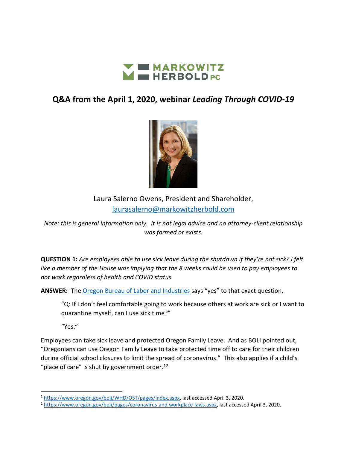

## **Q&A from the April 1, 2020, webinar** *Leading Through COVID-19*



Laura Salerno Owens, President and Shareholder, [laurasalerno@markowitzherbold.com](mailto:laurasalerno@markowitzherbold.com)

*Note: this is general information only. It is not legal advice and no attorney-client relationship was formed or exists.*

**QUESTION 1:** *Are employees able to use sick leave during the shutdown if they're not sick? I felt like a member of the House was implying that the 8 weeks could be used to pay employees to not work regardless of health and COVID status.*

**ANSWER:** The [Oregon Bureau of Labor and Industries](https://www.oregon.gov/boli/WHD/OST/Pages/Index.aspx) says "yes" to that exact question.

"Q: If I don't feel comfortable going to work because others at work are sick or I want to quarantine myself, can I use sick time?"

"Yes."

Employees can take sick leave and protected Oregon Family Leave. And as BOLI pointed out, "Oregonians can use Oregon Family Leave to take protected time off to care for their children during official school closures to limit the spread of coronavirus." This also applies if a child's "place of care" is shut by government order.<sup>[1](#page-0-0)[2](#page-0-1)</sup>

<span id="page-0-0"></span><sup>1</sup> [https://www.oregon.gov/boli/WHD/OST/pages/index.aspx,](https://www.oregon.gov/boli/WHD/OST/pages/index.aspx) last accessed April 3, 2020.

<span id="page-0-1"></span><sup>2</sup> [https://www.oregon.gov/boli/pages/coronavirus-and-workplace-laws.aspx,](https://www.oregon.gov/boli/pages/coronavirus-and-workplace-laws.aspx) last accessed April 3, 2020.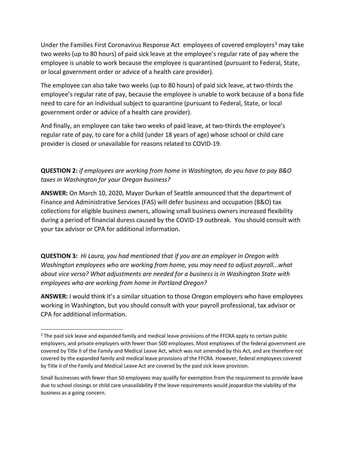Under the Families First Coronavirus Response Act employees of covered employers<sup>[3](#page-1-0)</sup> may take two weeks (up to 80 hours) of paid sick leave at the employee's regular rate of pay where the employee is unable to work because the employee is quarantined (pursuant to Federal, State, or local government order or advice of a health care provider).

The employee can also take two weeks (up to 80 hours) of paid sick leave, at two-thirds the employee's regular rate of pay, because the employee is unable to work because of a bona fide need to care for an individual subject to quarantine (pursuant to Federal, State, or local government order or advice of a health care provider).

And finally, an employee can take two weeks of paid leave, at two-thirds the employee's regular rate of pay, to care for a child (under 18 years of age) whose school or child care provider is closed or unavailable for reasons related to COVID-19.

**QUESTION 2:** *if employees are working from home in Washington, do you have to pay B&O taxes in Washington for your Oregon business?*

**ANSWER:** On March 10, 2020, Mayor Durkan of Seattle announced that the department of Finance and Administrative Services (FAS) will defer business and occupation (B&O) tax collections for eligible business owners, allowing small business owners increased flexibility during a period of financial duress caused by the COVID-19 outbreak. You should consult with your tax advisor or CPA for additional information.

**QUESTION 3:** *Hi Laura, you had mentioned that if you are an employer in Oregon with Washington employees who are working from home, you may need to adjust payroll...what about vice versa? What adjustments are needed for a business is in Washington State with employees who are working from home in Portland Oregon?*

**ANSWER:** I would think it's a similar situation to those Oregon employers who have employees working in Washington, but you should consult with your payroll professional, tax advisor or CPA for additional information.

<span id="page-1-0"></span><sup>&</sup>lt;sup>3</sup> The paid sick leave and expanded family and medical leave provisions of the FFCRA apply to certain public employers, and private employers with fewer than 500 employees. Most employees of the federal government are covered by Title II of the Family and Medical Leave Act, which was not amended by this Act, and are therefore not covered by the expanded family and medical leave provisions of the FFCRA. However, federal employees covered by Title II of the Family and Medical Leave Act are covered by the paid sick leave provision.

Small businesses with fewer than 50 employees may qualify for exemption from the requirement to provide leave due to school closings or child care unavailability if the leave requirements would jeopardize the viability of the business as a going concern.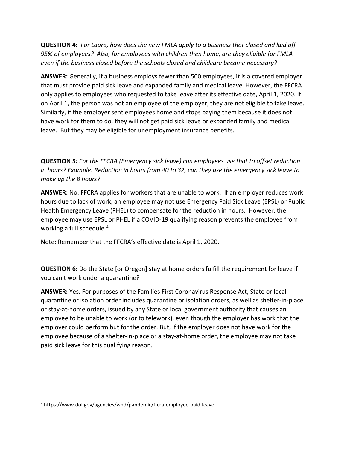**QUESTION 4:** *For Laura, how does the new FMLA apply to a business that closed and laid off 95% of employees? Also, for employees with children then home, are they eligible for FMLA even if the business closed before the schools closed and childcare became necessary?*

**ANSWER:** Generally, if a business employs fewer than 500 employees, it is a covered employer that must provide paid sick leave and expanded family and medical leave. However, the FFCRA only applies to employees who requested to take leave after its effective date, April 1, 2020. If on April 1, the person was not an employee of the employer, they are not eligible to take leave. Similarly, if the employer sent employees home and stops paying them because it does not have work for them to do, they will not get paid sick leave or expanded family and medical leave. But they may be eligible for unemployment insurance benefits.

**QUESTION 5***: For the FFCRA (Emergency sick leave) can employees use that to offset reduction in hours? Example: Reduction in hours from 40 to 32, can they use the emergency sick leave to make up the 8 hours?*

**ANSWER:** No. FFCRA applies for workers that are unable to work. If an employer reduces work hours due to lack of work, an employee may not use Emergency Paid Sick Leave (EPSL) or Public Health Emergency Leave (PHEL) to compensate for the reduction in hours. However, the employee may use EPSL or PHEL if a COVID-19 qualifying reason prevents the employee from working a full schedule.<sup>[4](#page-2-0)</sup>

Note: Remember that the FFCRA's effective date is April 1, 2020.

**QUESTION 6:** Do the State [or Oregon] stay at home orders fulfill the requirement for leave if you can't work under a quarantine?

**ANSWER:** Yes. For purposes of the Families First Coronavirus Response Act, State or local quarantine or isolation order includes quarantine or isolation orders, as well as shelter-in-place or stay-at-home orders, issued by any State or local government authority that causes an employee to be unable to work (or to telework), even though the employer has work that the employer could perform but for the order. But, if the employer does not have work for the employee because of a shelter-in-place or a stay-at-home order, the employee may not take paid sick leave for this qualifying reason.

<span id="page-2-0"></span><sup>4</sup> https://www.dol.gov/agencies/whd/pandemic/ffcra-employee-paid-leave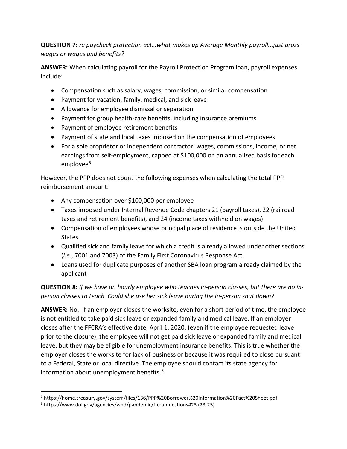**QUESTION 7:** *re paycheck protection act…what makes up Average Monthly payroll...just gross wages or wages and benefits?*

**ANSWER:** When calculating payroll for the Payroll Protection Program loan, payroll expenses include:

- Compensation such as salary, wages, commission, or similar compensation
- Payment for vacation, family, medical, and sick leave
- Allowance for employee dismissal or separation
- Payment for group health-care benefits, including insurance premiums
- Payment of employee retirement benefits
- Payment of state and local taxes imposed on the compensation of employees
- For a sole proprietor or independent contractor: wages, commissions, income, or net earnings from self-employment, capped at \$100,000 on an annualized basis for each employee<sup>[5](#page-3-0)</sup>

However, the PPP does not count the following expenses when calculating the total PPP reimbursement amount:

- Any compensation over \$100,000 per employee
- Taxes imposed under Internal Revenue Code chapters 21 (payroll taxes), 22 (railroad taxes and retirement benefits), and 24 (income taxes withheld on wages)
- Compensation of employees whose principal place of residence is outside the United States
- Qualified sick and family leave for which a credit is already allowed under other sections (*i.e.*, 7001 and 7003) of the Family First Coronavirus Response Act
- Loans used for duplicate purposes of another SBA loan program already claimed by the applicant

**QUESTION 8:** *If we have an hourly employee who teaches in-person classes, but there are no inperson classes to teach. Could she use her sick leave during the in-person shut down?*

**ANSWER:** No. If an employer closes the worksite, even for a short period of time, the employee is not entitled to take paid sick leave or expanded family and medical leave. If an employer closes after the FFCRA's effective date, April 1, 2020, (even if the employee requested leave prior to the closure), the employee will not get paid sick leave or expanded family and medical leave, but they may be eligible for unemployment insurance benefits. This is true whether the employer closes the worksite for lack of business or because it was required to close pursuant to a Federal, State or local directive. The employee should contact its state agency for information about unemployment benefits.<sup>[6](#page-3-1)</sup>

<span id="page-3-0"></span><sup>5</sup> https://home.treasury.gov/system/files/136/PPP%20Borrower%20Information%20Fact%20Sheet.pdf

<span id="page-3-1"></span><sup>6</sup> https://www.dol.gov/agencies/whd/pandemic/ffcra-questions#23 (23-25)